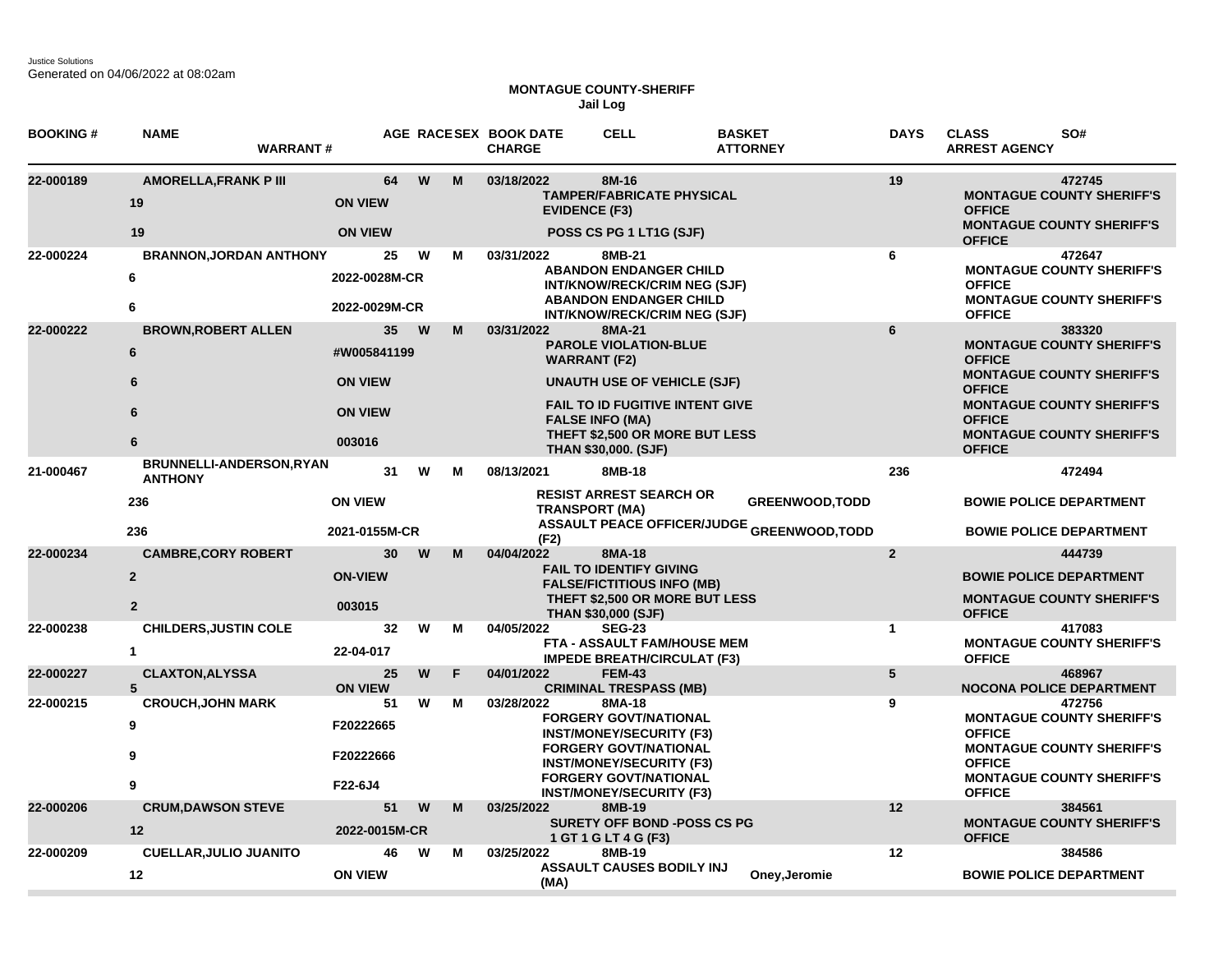Justice Solutions Generated on 04/06/2022 at 08:02am

## **MONTAGUE COUNTY-SHERIFF Jail Log**

| <b>BOOKING#</b> | <b>NAME</b><br><b>WARRANT#</b>                                 |                                                           |    |   |   | AGE RACESEX BOOK DATE<br><b>CHARGE</b> | <b>CELL</b>                                                                                                                                                                                                                       | <b>BASKET</b><br><b>ATTORNEY</b>                                            | <b>DAYS</b>     | SO#<br><b>CLASS</b><br><b>ARREST AGENCY</b>                                                                                                                                                                                |
|-----------------|----------------------------------------------------------------|-----------------------------------------------------------|----|---|---|----------------------------------------|-----------------------------------------------------------------------------------------------------------------------------------------------------------------------------------------------------------------------------------|-----------------------------------------------------------------------------|-----------------|----------------------------------------------------------------------------------------------------------------------------------------------------------------------------------------------------------------------------|
| 22-000189       | <b>AMORELLA, FRANK P III</b><br>19<br>19                       | <b>ON VIEW</b><br><b>ON VIEW</b>                          | 64 | W | M | 03/18/2022<br><b>EVIDENCE (F3)</b>     | 8M-16<br><b>TAMPER/FABRICATE PHYSICAL</b><br>POSS CS PG 1 LT1G (SJF)                                                                                                                                                              |                                                                             | 19              | 472745<br><b>MONTAGUE COUNTY SHERIFF'S</b><br><b>OFFICE</b><br><b>MONTAGUE COUNTY SHERIFF'S</b><br><b>OFFICE</b>                                                                                                           |
| 22-000224       | <b>BRANNON, JORDAN ANTHONY</b><br>6<br>6                       | 2022-0028M-CR<br>2022-0029M-CR                            | 25 | W | м | 03/31/2022                             | 8MB-21<br><b>ABANDON ENDANGER CHILD</b><br>INT/KNOW/RECK/CRIM NEG (SJF)<br><b>ABANDON ENDANGER CHILD</b><br>INT/KNOW/RECK/CRIM NEG (SJF)                                                                                          |                                                                             | 6               | 472647<br><b>MONTAGUE COUNTY SHERIFF'S</b><br><b>OFFICE</b><br><b>MONTAGUE COUNTY SHERIFF'S</b><br><b>OFFICE</b>                                                                                                           |
| 22-000222       | <b>BROWN, ROBERT ALLEN</b><br>6<br>6<br>6<br>6                 | #W005841199<br><b>ON VIEW</b><br><b>ON VIEW</b><br>003016 | 35 | W | M | 03/31/2022                             | 8MA-21<br><b>PAROLE VIOLATION-BLUE</b><br><b>WARRANT</b> (F2)<br><b>UNAUTH USE OF VEHICLE (SJF)</b><br>FAIL TO ID FUGITIVE INTENT GIVE<br><b>FALSE INFO (MA)</b><br>THEFT \$2,500 OR MORE BUT LESS<br><b>THAN \$30,000. (SJF)</b> |                                                                             | $6\phantom{1}$  | 383320<br><b>MONTAGUE COUNTY SHERIFF'S</b><br><b>OFFICE</b><br><b>MONTAGUE COUNTY SHERIFF'S</b><br><b>OFFICE</b><br><b>MONTAGUE COUNTY SHERIFF'S</b><br><b>OFFICE</b><br><b>MONTAGUE COUNTY SHERIFF'S</b><br><b>OFFICE</b> |
| 21-000467       | <b>BRUNNELLI-ANDERSON,RYAN</b><br><b>ANTHONY</b><br>236<br>236 | <b>ON VIEW</b><br>2021-0155M-CR                           | 31 | W | м | 08/13/2021<br>(F2)                     | 8MB-18<br><b>RESIST ARREST SEARCH OR</b><br><b>TRANSPORT (MA)</b>                                                                                                                                                                 | <b>GREENWOOD, TODD</b><br><b>ASSAULT PEACE OFFICER/JUDGE GREENWOOD,TODD</b> | 236             | 472494<br><b>BOWIE POLICE DEPARTMENT</b><br><b>BOWIE POLICE DEPARTMENT</b>                                                                                                                                                 |
| 22-000234       | <b>CAMBRE, CORY ROBERT</b><br>$\overline{2}$<br>$\overline{2}$ | <b>ON-VIEW</b><br>003015                                  | 30 | W | м | 04/04/2022                             | 8MA-18<br><b>FAIL TO IDENTIFY GIVING</b><br><b>FALSE/FICTITIOUS INFO (MB)</b><br><b>THEFT \$2,500 OR MORE BUT LESS</b><br><b>THAN \$30,000 (SJF)</b>                                                                              |                                                                             | $\overline{2}$  | 444739<br><b>BOWIE POLICE DEPARTMENT</b><br><b>MONTAGUE COUNTY SHERIFF'S</b><br><b>OFFICE</b>                                                                                                                              |
| 22-000238       | <b>CHILDERS, JUSTIN COLE</b><br>$\mathbf{1}$                   | 22-04-017                                                 | 32 | W | м | 04/05/2022                             | <b>SEG-23</b><br>FTA - ASSAULT FAM/HOUSE MEM<br><b>IMPEDE BREATH/CIRCULAT (F3)</b>                                                                                                                                                |                                                                             | $\mathbf{1}$    | 417083<br><b>MONTAGUE COUNTY SHERIFF'S</b><br><b>OFFICE</b>                                                                                                                                                                |
| 22-000227       | <b>CLAXTON, ALYSSA</b><br>5                                    | <b>ON VIEW</b>                                            | 25 | W | F | 04/01/2022                             | <b>FEM-43</b><br><b>CRIMINAL TRESPASS (MB)</b>                                                                                                                                                                                    |                                                                             | $5\phantom{.0}$ | 468967<br><b>NOCONA POLICE DEPARTMENT</b>                                                                                                                                                                                  |
| 22-000215       | <b>CROUCH, JOHN MARK</b><br>9<br>9<br>9                        | F20222665<br>F20222666<br>F22-6J4                         | 51 | W | м | 03/28/2022                             | 8MA-18<br><b>FORGERY GOVT/NATIONAL</b><br><b>INST/MONEY/SECURITY (F3)</b><br><b>FORGERY GOVT/NATIONAL</b><br><b>INST/MONEY/SECURITY (F3)</b><br><b>FORGERY GOVT/NATIONAL</b>                                                      |                                                                             | 9               | 472756<br><b>MONTAGUE COUNTY SHERIFF'S</b><br><b>OFFICE</b><br><b>MONTAGUE COUNTY SHERIFF'S</b><br><b>OFFICE</b><br><b>MONTAGUE COUNTY SHERIFF'S</b>                                                                       |
| 22-000206       | <b>CRUM, DAWSON STEVE</b><br>12                                | 2022-0015M-CR                                             | 51 | W | M | 03/25/2022                             | <b>INST/MONEY/SECURITY (F3)</b><br>8MB-19<br><b>SURETY OFF BOND -POSS CS PG</b><br>1 GT 1 G LT 4 G (F3)                                                                                                                           |                                                                             | 12              | <b>OFFICE</b><br>384561<br><b>MONTAGUE COUNTY SHERIFF'S</b><br><b>OFFICE</b>                                                                                                                                               |
| 22-000209       | <b>CUELLAR, JULIO JUANITO</b><br>12                            | <b>ON VIEW</b>                                            | 46 | W | М | 03/25/2022<br>(MA)                     | 8MB-19<br><b>ASSAULT CAUSES BODILY INJ</b>                                                                                                                                                                                        | Oney, Jeromie                                                               | 12              | 384586<br><b>BOWIE POLICE DEPARTMENT</b>                                                                                                                                                                                   |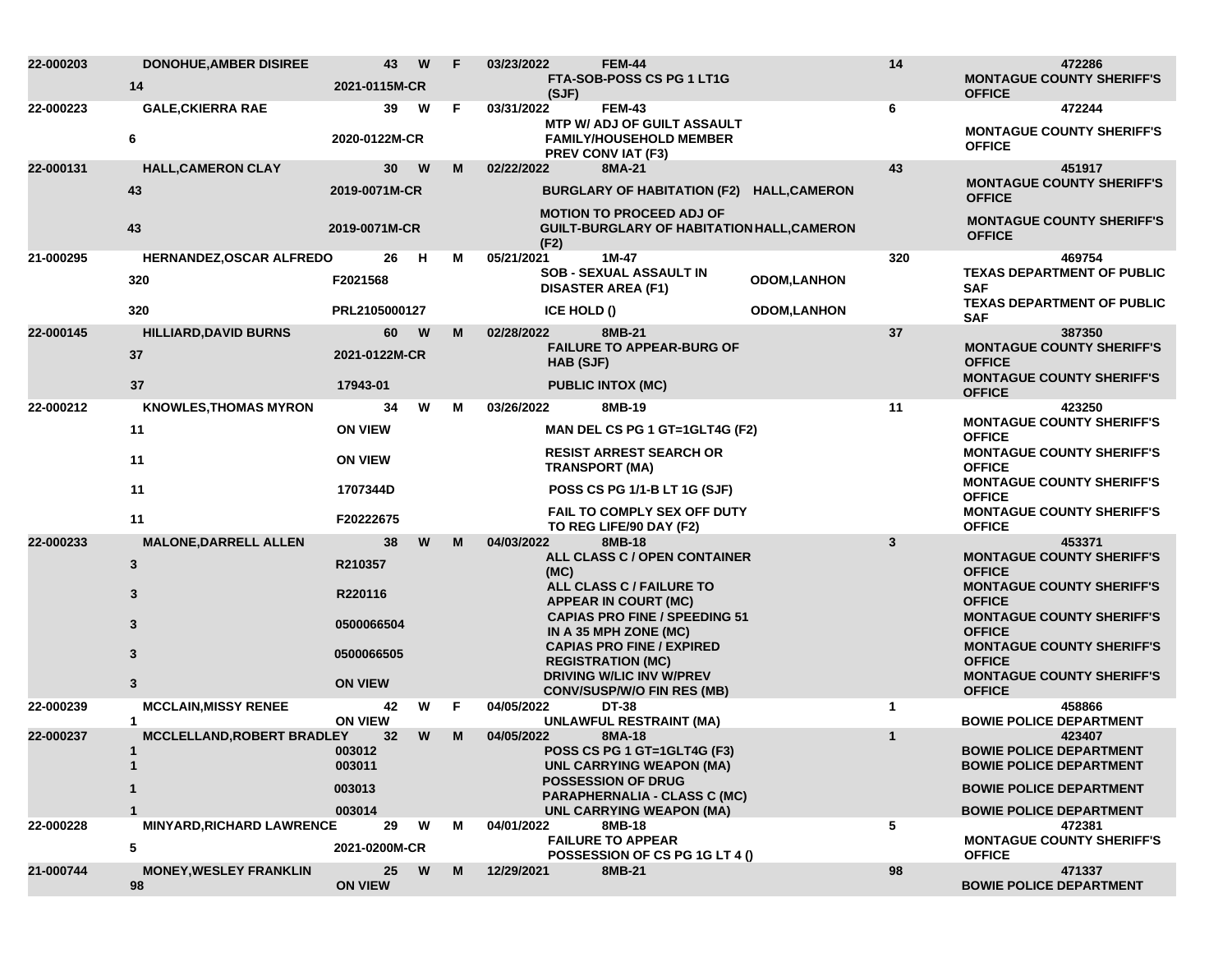| 22-000203 | <b>DONOHUE, AMBER DISIREE</b>          | 43                        | W        | F | 03/23/2022  | <b>FEM-44</b>                                                                                    |                    | 14            | 472286                                                                               |
|-----------|----------------------------------------|---------------------------|----------|---|-------------|--------------------------------------------------------------------------------------------------|--------------------|---------------|--------------------------------------------------------------------------------------|
|           | 14                                     | 2021-0115M-CR             |          |   | (SJF)       | FTA-SOB-POSS CS PG 1 LT1G                                                                        |                    |               | <b>MONTAGUE COUNTY SHERIFF'S</b><br><b>OFFICE</b>                                    |
| 22-000223 | <b>GALE, CKIERRA RAE</b>               | 39                        | W        | F | 03/31/2022  | <b>FEM-43</b>                                                                                    |                    | 6             | 472244                                                                               |
|           | 6                                      | 2020-0122M-CR             |          |   |             | <b>MTP W/ ADJ OF GUILT ASSAULT</b><br><b>FAMILY/HOUSEHOLD MEMBER</b><br><b>PREV CONVIAT (F3)</b> |                    |               | <b>MONTAGUE COUNTY SHERIFF'S</b><br><b>OFFICE</b>                                    |
| 22-000131 | <b>HALL, CAMERON CLAY</b>              | 30 <sub>o</sub>           | W        | M | 02/22/2022  | 8MA-21                                                                                           |                    | 43            | 451917                                                                               |
|           | 43                                     | 2019-0071M-CR             |          |   |             | BURGLARY OF HABITATION (F2) HALL, CAMERON                                                        |                    |               | <b>MONTAGUE COUNTY SHERIFF'S</b><br><b>OFFICE</b>                                    |
|           | 43                                     | 2019-0071M-CR             |          |   | (F2)        | <b>MOTION TO PROCEED ADJ OF</b><br>GUILT-BURGLARY OF HABITATION HALL, CAMERON                    |                    |               | <b>MONTAGUE COUNTY SHERIFF'S</b><br><b>OFFICE</b>                                    |
| 21-000295 | HERNANDEZ, OSCAR ALFREDO               | 26                        | - H      | М | 05/21/2021  | 1M-47                                                                                            |                    | 320           | 469754                                                                               |
|           | 320                                    | F2021568                  |          |   |             | SOB - SEXUAL ASSAULT IN<br><b>DISASTER AREA (F1)</b>                                             | <b>ODOM,LANHON</b> |               | <b>TEXAS DEPARTMENT OF PUBLIC</b><br><b>SAF</b><br><b>TEXAS DEPARTMENT OF PUBLIC</b> |
|           | 320                                    | PRL2105000127             |          |   | ICE HOLD () |                                                                                                  | <b>ODOM,LANHON</b> |               | <b>SAF</b>                                                                           |
| 22-000145 | <b>HILLIARD, DAVID BURNS</b>           | 60                        | <b>W</b> | M | 02/28/2022  | 8MB-21<br><b>FAILURE TO APPEAR-BURG OF</b>                                                       |                    | 37            | 387350<br><b>MONTAGUE COUNTY SHERIFF'S</b>                                           |
|           | 37                                     | 2021-0122M-CR             |          |   | HAB (SJF)   |                                                                                                  |                    | <b>OFFICE</b> |                                                                                      |
|           | 37                                     | 17943-01                  |          |   |             | <b>PUBLIC INTOX (MC)</b>                                                                         |                    |               | <b>MONTAGUE COUNTY SHERIFF'S</b><br><b>OFFICE</b>                                    |
| 22-000212 | <b>KNOWLES, THOMAS MYRON</b>           | 34                        | W        | м | 03/26/2022  | 8MB-19                                                                                           |                    | 11            | 423250                                                                               |
|           | 11                                     | <b>ON VIEW</b>            |          |   |             | MAN DEL CS PG 1 GT=1GLT4G (F2)                                                                   |                    |               | <b>MONTAGUE COUNTY SHERIFF'S</b><br><b>OFFICE</b>                                    |
|           | 11                                     | <b>ON VIEW</b>            |          |   |             | <b>RESIST ARREST SEARCH OR</b><br><b>TRANSPORT (MA)</b>                                          |                    |               | <b>MONTAGUE COUNTY SHERIFF'S</b><br><b>OFFICE</b>                                    |
|           | 11                                     | 1707344D                  |          |   |             | POSS CS PG 1/1-B LT 1G (SJF)                                                                     |                    |               | <b>MONTAGUE COUNTY SHERIFF'S</b><br><b>OFFICE</b>                                    |
|           | 11                                     | F20222675                 |          |   |             | <b>FAIL TO COMPLY SEX OFF DUTY</b><br>TO REG LIFE/90 DAY (F2)                                    |                    |               | <b>MONTAGUE COUNTY SHERIFF'S</b><br><b>OFFICE</b>                                    |
| 22-000233 | <b>MALONE, DARRELL ALLEN</b>           | 38                        | W        | M | 04/03/2022  | 8MB-18<br>ALL CLASS C / OPEN CONTAINER                                                           |                    | 3             | 453371<br><b>MONTAGUE COUNTY SHERIFF'S</b>                                           |
|           | 3                                      | R210357                   |          |   | (MC)        |                                                                                                  |                    |               | <b>OFFICE</b>                                                                        |
|           | 3                                      | R220116                   |          |   |             | ALL CLASS C / FAILURE TO<br><b>APPEAR IN COURT (MC)</b>                                          |                    |               | <b>MONTAGUE COUNTY SHERIFF'S</b><br><b>OFFICE</b>                                    |
|           | 3                                      | 0500066504                |          |   |             | <b>CAPIAS PRO FINE / SPEEDING 51</b><br>IN A 35 MPH ZONE (MC)                                    |                    |               | <b>MONTAGUE COUNTY SHERIFF'S</b><br><b>OFFICE</b>                                    |
|           | $\mathbf{3}$                           | 0500066505                |          |   |             | <b>CAPIAS PRO FINE / EXPIRED</b><br><b>REGISTRATION (MC)</b>                                     |                    |               | <b>MONTAGUE COUNTY SHERIFF'S</b><br><b>OFFICE</b>                                    |
|           | 3                                      | <b>ON VIEW</b>            |          |   |             | <b>DRIVING W/LIC INV W/PREV</b>                                                                  |                    |               | <b>MONTAGUE COUNTY SHERIFF'S</b>                                                     |
| 22-000239 | <b>MCCLAIN, MISSY RENEE</b>            | 42                        | W        | F | 04/05/2022  | <b>CONV/SUSP/W/O FIN RES (MB)</b><br><b>DT-38</b>                                                |                    | $\mathbf 1$   | <b>OFFICE</b><br>458866                                                              |
|           | $\mathbf 1$                            | <b>ON VIEW</b>            |          |   |             | <b>UNLAWFUL RESTRAINT (MA)</b>                                                                   |                    |               | <b>BOWIE POLICE DEPARTMENT</b>                                                       |
| 22-000237 | <b>MCCLELLAND, ROBERT BRADLEY</b><br>1 | 32 <sub>2</sub><br>003012 | W        | M | 04/05/2022  | 8MA-18<br>POSS CS PG 1 GT=1GLT4G (F3)                                                            |                    | $\mathbf{1}$  | 423407<br><b>BOWIE POLICE DEPARTMENT</b>                                             |
|           | $\mathbf{1}$                           | 003011                    |          |   |             | <b>UNL CARRYING WEAPON (MA)</b>                                                                  |                    |               | <b>BOWIE POLICE DEPARTMENT</b>                                                       |
|           |                                        | 003013                    |          |   |             | <b>POSSESSION OF DRUG</b><br>PARAPHERNALIA - CLASS C (MC)                                        |                    |               | <b>BOWIE POLICE DEPARTMENT</b>                                                       |
|           |                                        | 003014                    |          |   |             | UNL CARRYING WEAPON (MA)                                                                         |                    |               | <b>BOWIE POLICE DEPARTMENT</b>                                                       |
| 22-000228 | <b>MINYARD, RICHARD LAWRENCE</b><br>5  | 29<br>2021-0200M-CR       | W        | М | 04/01/2022  | 8MB-18<br><b>FAILURE TO APPEAR</b><br>POSSESSION OF CS PG 1G LT 4 ()                             |                    | 5             | 472381<br><b>MONTAGUE COUNTY SHERIFF'S</b><br><b>OFFICE</b>                          |
| 21-000744 | <b>MONEY, WESLEY FRANKLIN</b><br>98    | 25<br><b>ON VIEW</b>      | W        | M | 12/29/2021  | 8MB-21                                                                                           |                    | 98            | 471337<br><b>BOWIE POLICE DEPARTMENT</b>                                             |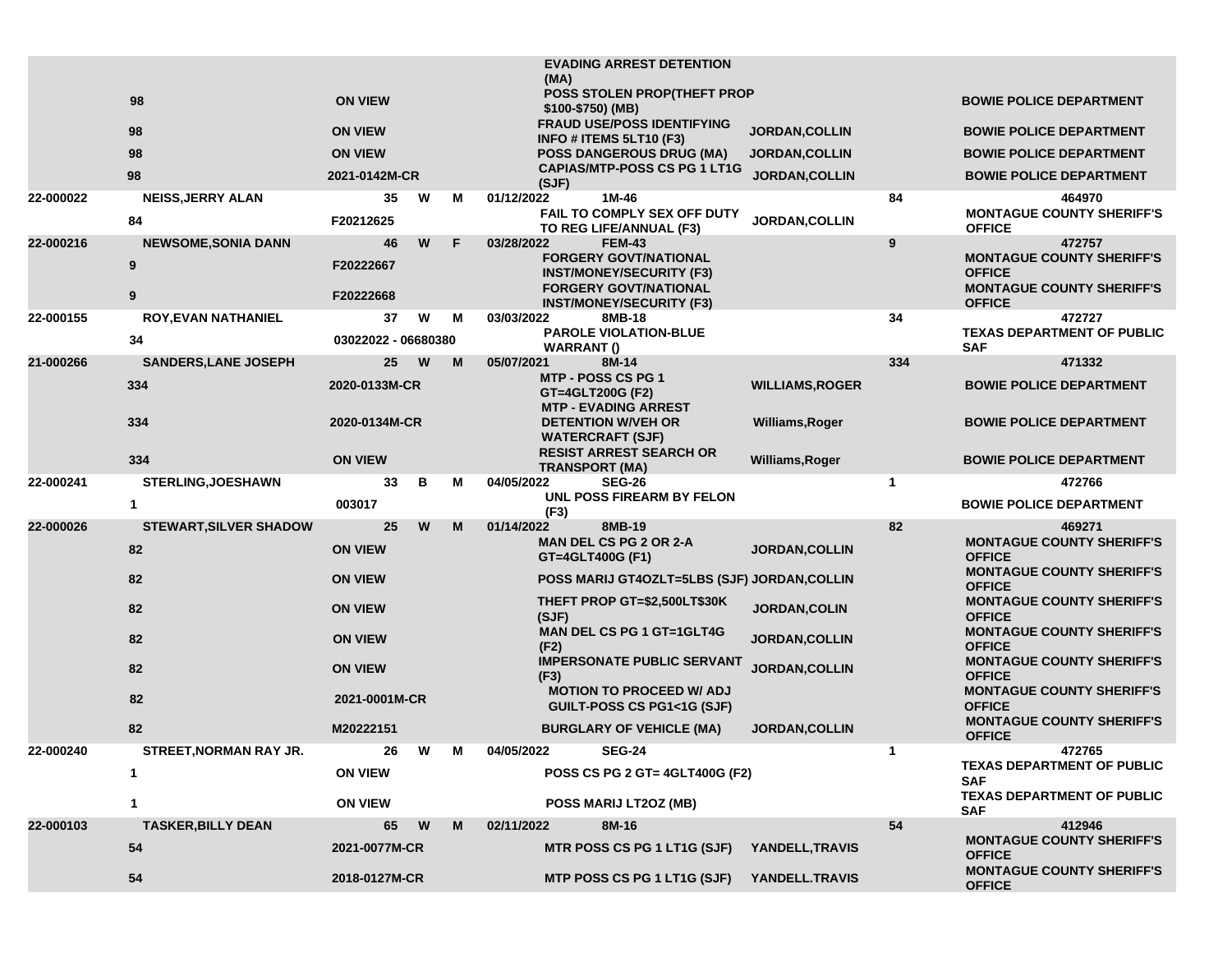|           |                                      |                              |   |   | <b>EVADING ARREST DETENTION</b><br>(MA)                                                                                        |                        |              |                                                                                                 |
|-----------|--------------------------------------|------------------------------|---|---|--------------------------------------------------------------------------------------------------------------------------------|------------------------|--------------|-------------------------------------------------------------------------------------------------|
|           | 98                                   | <b>ON VIEW</b>               |   |   | POSS STOLEN PROP(THEFT PROP<br>\$100-\$750) (MB)                                                                               |                        |              | <b>BOWIE POLICE DEPARTMENT</b>                                                                  |
|           | 98                                   | <b>ON VIEW</b>               |   |   | <b>FRAUD USE/POSS IDENTIFYING</b><br>INFO # ITEMS 5LT10 (F3)                                                                   | <b>JORDAN, COLLIN</b>  |              | <b>BOWIE POLICE DEPARTMENT</b>                                                                  |
|           | 98                                   | <b>ON VIEW</b>               |   |   | <b>POSS DANGEROUS DRUG (MA)</b>                                                                                                | <b>JORDAN,COLLIN</b>   |              | <b>BOWIE POLICE DEPARTMENT</b>                                                                  |
|           | 98                                   | 2021-0142M-CR                |   |   | <b>CAPIAS/MTP-POSS CS PG 1 LT1G</b><br>(SJF)                                                                                   | <b>JORDAN, COLLIN</b>  |              | <b>BOWIE POLICE DEPARTMENT</b>                                                                  |
| 22-000022 | <b>NEISS, JERRY ALAN</b><br>84       | 35<br>F20212625              | W | м | 01/12/2022<br>1M-46<br>FAIL TO COMPLY SEX OFF DUTY<br>TO REG LIFE/ANNUAL (F3)                                                  | JORDAN, COLLIN         | 84           | 464970<br><b>MONTAGUE COUNTY SHERIFF'S</b><br><b>OFFICE</b>                                     |
| 22-000216 | <b>NEWSOME, SONIA DANN</b><br>9<br>9 | 46<br>F20222667<br>F20222668 | W | F | 03/28/2022<br><b>FEM-43</b><br><b>FORGERY GOVT/NATIONAL</b><br><b>INST/MONEY/SECURITY (F3)</b><br><b>FORGERY GOVT/NATIONAL</b> |                        | 9            | 472757<br><b>MONTAGUE COUNTY SHERIFF'S</b><br><b>OFFICE</b><br><b>MONTAGUE COUNTY SHERIFF'S</b> |
|           |                                      |                              | W |   | <b>INST/MONEY/SECURITY (F3)</b>                                                                                                |                        |              | <b>OFFICE</b>                                                                                   |
| 22-000155 | <b>ROY, EVAN NATHANIEL</b><br>34     | 37<br>03022022 - 06680380    |   | м | 03/03/2022<br>8MB-18<br><b>PAROLE VIOLATION-BLUE</b><br><b>WARRANT()</b>                                                       |                        | 34           | 472727<br><b>TEXAS DEPARTMENT OF PUBLIC</b><br><b>SAF</b>                                       |
| 21-000266 | <b>SANDERS, LANE JOSEPH</b>          | 25                           | W | M | 05/07/2021<br>8M-14                                                                                                            |                        | 334          | 471332                                                                                          |
|           | 334                                  | 2020-0133M-CR                |   |   | <b>MTP - POSS CS PG 1</b><br>GT=4GLT200G (F2)<br><b>MTP - EVADING ARREST</b>                                                   | <b>WILLIAMS, ROGER</b> |              | <b>BOWIE POLICE DEPARTMENT</b>                                                                  |
|           | 334                                  | 2020-0134M-CR                |   |   | <b>DETENTION W/VEH OR</b><br><b>WATERCRAFT (SJF)</b>                                                                           | Williams, Roger        |              | <b>BOWIE POLICE DEPARTMENT</b>                                                                  |
|           | 334                                  | <b>ON VIEW</b>               |   |   | <b>RESIST ARREST SEARCH OR</b><br><b>TRANSPORT (MA)</b>                                                                        | Williams, Roger        |              | <b>BOWIE POLICE DEPARTMENT</b>                                                                  |
| 22-000241 | <b>STERLING, JOESHAWN</b>            |                              |   | М |                                                                                                                                |                        | $\mathbf{1}$ |                                                                                                 |
|           |                                      | 33                           | В |   | 04/05/2022<br><b>SEG-26</b>                                                                                                    |                        |              | 472766                                                                                          |
|           | $\mathbf{1}$                         | 003017                       |   |   | UNL POSS FIREARM BY FELON                                                                                                      |                        |              | <b>BOWIE POLICE DEPARTMENT</b>                                                                  |
| 22-000026 | <b>STEWART, SILVER SHADOW</b>        | 25                           | W | M | (F3)<br>01/14/2022<br>8MB-19                                                                                                   |                        | 82           | 469271                                                                                          |
|           | 82                                   | <b>ON VIEW</b>               |   |   | <b>MAN DEL CS PG 2 OR 2-A</b><br>GT=4GLT400G (F1)                                                                              | <b>JORDAN, COLLIN</b>  |              | <b>MONTAGUE COUNTY SHERIFF'S</b><br><b>OFFICE</b>                                               |
|           | 82                                   | <b>ON VIEW</b>               |   |   | POSS MARIJ GT4OZLT=5LBS (SJF) JORDAN, COLLIN                                                                                   |                        |              | <b>MONTAGUE COUNTY SHERIFF'S</b><br><b>OFFICE</b>                                               |
|           | 82                                   | <b>ON VIEW</b>               |   |   | THEFT PROP GT=\$2,500LT\$30K<br>(SJF)                                                                                          | JORDAN, COLIN          |              | <b>MONTAGUE COUNTY SHERIFF'S</b><br><b>OFFICE</b>                                               |
|           | 82                                   | <b>ON VIEW</b>               |   |   | <b>MAN DEL CS PG 1 GT=1GLT4G</b>                                                                                               | <b>JORDAN, COLLIN</b>  |              | <b>MONTAGUE COUNTY SHERIFF'S</b><br><b>OFFICE</b>                                               |
|           | 82                                   | <b>ON VIEW</b>               |   |   | (F2)<br><b>IMPERSONATE PUBLIC SERVANT</b><br>(F3)                                                                              | JORDAN, COLLIN         |              | <b>MONTAGUE COUNTY SHERIFF'S</b><br><b>OFFICE</b>                                               |
|           | 82                                   | 2021-0001M-CR                |   |   | <b>MOTION TO PROCEED W/ ADJ</b><br>GUILT-POSS CS PG1<1G (SJF)                                                                  |                        |              | <b>MONTAGUE COUNTY SHERIFF'S</b><br><b>OFFICE</b>                                               |
|           | 82                                   | M20222151                    |   |   | <b>BURGLARY OF VEHICLE (MA)</b>                                                                                                | <b>JORDAN, COLLIN</b>  |              | <b>MONTAGUE COUNTY SHERIFF'S</b><br><b>OFFICE</b>                                               |
| 22-000240 | <b>STREET, NORMAN RAY JR.</b>        | 26                           | W | M | 04/05/2022<br><b>SEG-24</b>                                                                                                    |                        | 1            | 472765                                                                                          |
|           | $\mathbf 1$                          | <b>ON VIEW</b>               |   |   | POSS CS PG 2 GT= 4GLT400G (F2)                                                                                                 |                        |              | <b>TEXAS DEPARTMENT OF PUBLIC</b><br><b>SAF</b>                                                 |
|           | $\mathbf 1$                          | <b>ON VIEW</b>               |   |   | POSS MARIJ LT2OZ (MB)                                                                                                          |                        |              | <b>TEXAS DEPARTMENT OF PUBLIC</b><br><b>SAF</b>                                                 |
| 22-000103 | <b>TASKER, BILLY DEAN</b>            | 65                           | W | M | 8M-16<br>02/11/2022                                                                                                            |                        | 54           | 412946                                                                                          |
|           | 54                                   | 2021-0077M-CR                |   |   | MTR POSS CS PG 1 LT1G (SJF) YANDELL, TRAVIS                                                                                    |                        |              | <b>MONTAGUE COUNTY SHERIFF'S</b><br><b>OFFICE</b><br><b>MONTAGUE COUNTY SHERIFF'S</b>           |